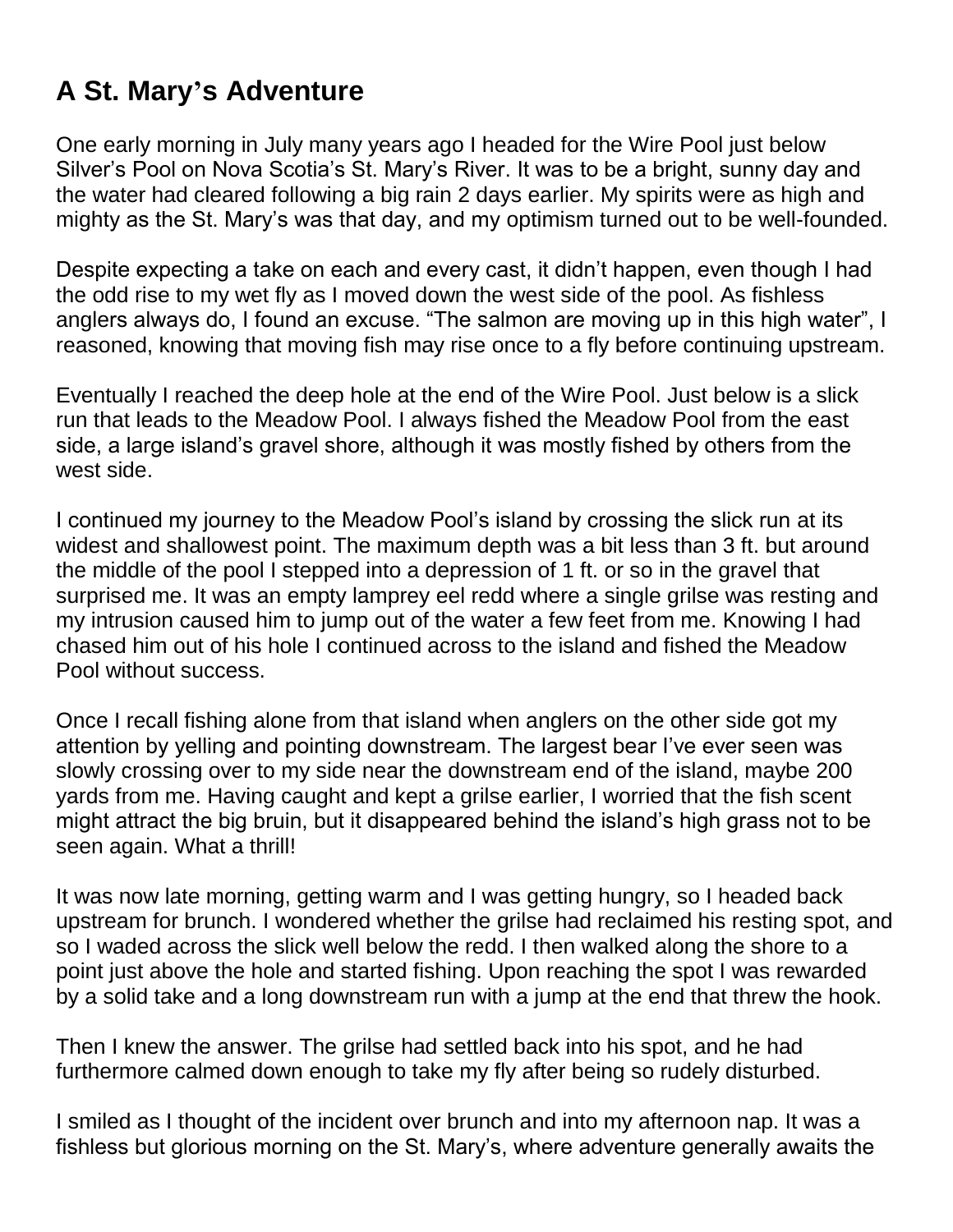## **A St. Mary's Adventure**

One early morning in July many years ago I headed for the Wire Pool just below Silver's Pool on Nova Scotia's St. Mary's River. It was to be a bright, sunny day and the water had cleared following a big rain 2 days earlier. My spirits were as high and mighty as the St. Mary's was that day, and my optimism turned out to be well-founded.

Despite expecting a take on each and every cast, it didn't happen, even though I had the odd rise to my wet fly as I moved down the west side of the pool. As fishless anglers always do, I found an excuse. "The salmon are moving up in this high water", I reasoned, knowing that moving fish may rise once to a fly before continuing upstream.

Eventually I reached the deep hole at the end of the Wire Pool. Just below is a slick run that leads to the Meadow Pool. I always fished the Meadow Pool from the east side, a large island's gravel shore, although it was mostly fished by others from the west side.

I continued my journey to the Meadow Pool's island by crossing the slick run at its widest and shallowest point. The maximum depth was a bit less than 3 ft. but around the middle of the pool I stepped into a depression of 1 ft. or so in the gravel that surprised me. It was an empty lamprey eel redd where a single grilse was resting and my intrusion caused him to jump out of the water a few feet from me. Knowing I had chased him out of his hole I continued across to the island and fished the Meadow Pool without success.

Once I recall fishing alone from that island when anglers on the other side got my attention by yelling and pointing downstream. The largest bear I've ever seen was slowly crossing over to my side near the downstream end of the island, maybe 200 yards from me. Having caught and kept a grilse earlier, I worried that the fish scent might attract the big bruin, but it disappeared behind the island's high grass not to be seen again. What a thrill!

It was now late morning, getting warm and I was getting hungry, so I headed back upstream for brunch. I wondered whether the grilse had reclaimed his resting spot, and so I waded across the slick well below the redd. I then walked along the shore to a point just above the hole and started fishing. Upon reaching the spot I was rewarded by a solid take and a long downstream run with a jump at the end that threw the hook.

Then I knew the answer. The grilse had settled back into his spot, and he had furthermore calmed down enough to take my fly after being so rudely disturbed.

I smiled as I thought of the incident over brunch and into my afternoon nap. It was a fishless but glorious morning on the St. Mary's, where adventure generally awaits the